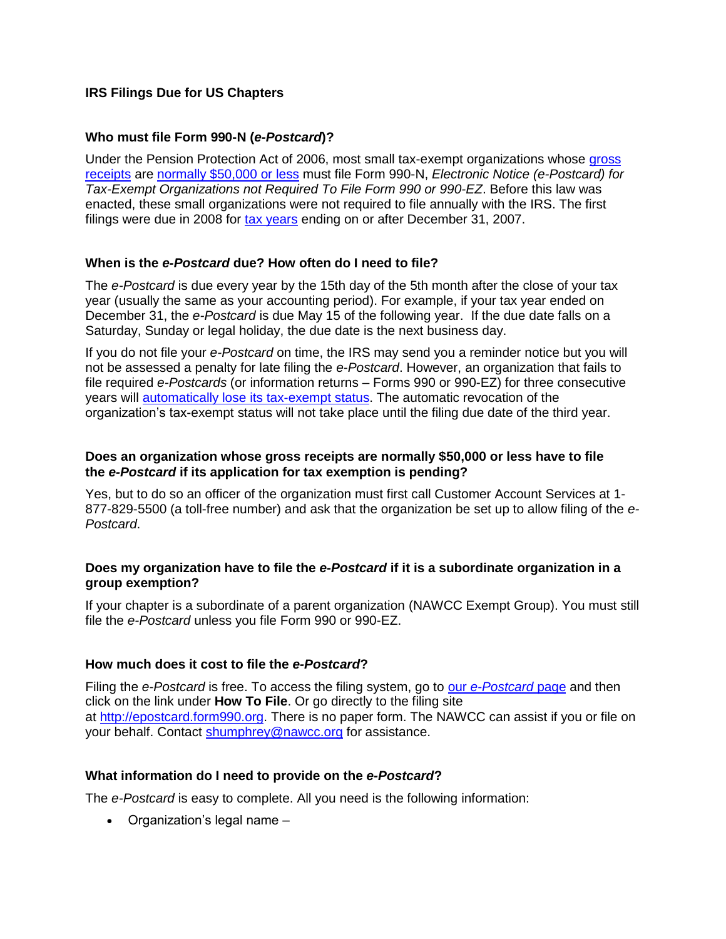# **IRS Filings Due for US Chapters**

## **Who must file Form 990-N (***e-Postcard***)?**

Under the Pension Protection Act of 2006, most small tax-exempt organizations whose [gross](http://www.irs.gov/Charities-&-Non-Profits/Gross-Receipts-Defined)  [receipts](http://www.irs.gov/Charities-&-Non-Profits/Gross-Receipts-Defined) are [normally \\$50,000 or less](http://www.irs.gov/Charities-&-Non-Profits/Gross-Receipts-Normally-$25,000-$50,000-or-Less) must file Form 990-N, *Electronic Notice (e-Postcard) for Tax-Exempt Organizations not Required To File Form 990 or 990-EZ*. Before this law was enacted, these small organizations were not required to file annually with the IRS. The first filings were due in 2008 for [tax years](http://www.irs.gov/Charities-&-Non-Profits/Exempt-Organizations-Annual-Reporting-Requirements-Filing-Procedures:-Tax-Year) ending on or after December 31, 2007.

## **When is the** *e-Postcard* **due? How often do I need to file?**

The *e-Postcard* is due every year by the 15th day of the 5th month after the close of your tax year (usually the same as your accounting period). For example, if your tax year ended on December 31, the *e-Postcard* is due May 15 of the following year. If the due date falls on a Saturday, Sunday or legal holiday, the due date is the next business day.

If you do not file your *e-Postcard* on time, the IRS may send you a reminder notice but you will not be assessed a penalty for late filing the *e-Postcard*. However, an organization that fails to file required *e-Postcards* (or information returns – Forms 990 or 990-EZ) for three consecutive years will [automatically lose its tax-exempt status.](http://www.irs.gov/Charities-&-Non-Profits/Automatic-Revocation-of-Exemption) The automatic revocation of the organization's tax-exempt status will not take place until the filing due date of the third year.

#### **Does an organization whose gross receipts are normally \$50,000 or less have to file the** *e-Postcard* **if its application for tax exemption is pending?**

Yes, but to do so an officer of the organization must first call Customer Account Services at 1- 877-829-5500 (a toll-free number) and ask that the organization be set up to allow filing of the *e-Postcard*.

#### **Does my organization have to file the** *e-Postcard* **if it is a subordinate organization in a group exemption?**

If your chapter is a subordinate of a parent organization (NAWCC Exempt Group). You must still file the *e-Postcard* unless you file Form 990 or 990-EZ.

#### **How much does it cost to file the** *e-Postcard***?**

Filing the *e-Postcard* is free. To access the filing system, go to our *[e-Postcard](http://www.irs.gov/Charities-&-Non-Profits/Annual-Electronic-Filing-Requirement-for-Small-Exempt-Organizations-Form-990-N-(e-Postcard))* page and then click on the link under **How To File**. Or go directly to the filing site at [http://epostcard.form990.org.](http://apps.irs.gov/app/scripts/exit.jsp?dest=http://epostcard.form990.org/) There is no paper form. The NAWCC can assist if you or file on your behalf. Contact [shumphrey@nawcc.org](mailto:shumphrey@nawcc.org) for assistance.

## **What information do I need to provide on the** *e-Postcard***?**

The *e-Postcard* is easy to complete. All you need is the following information:

• Organization's legal name –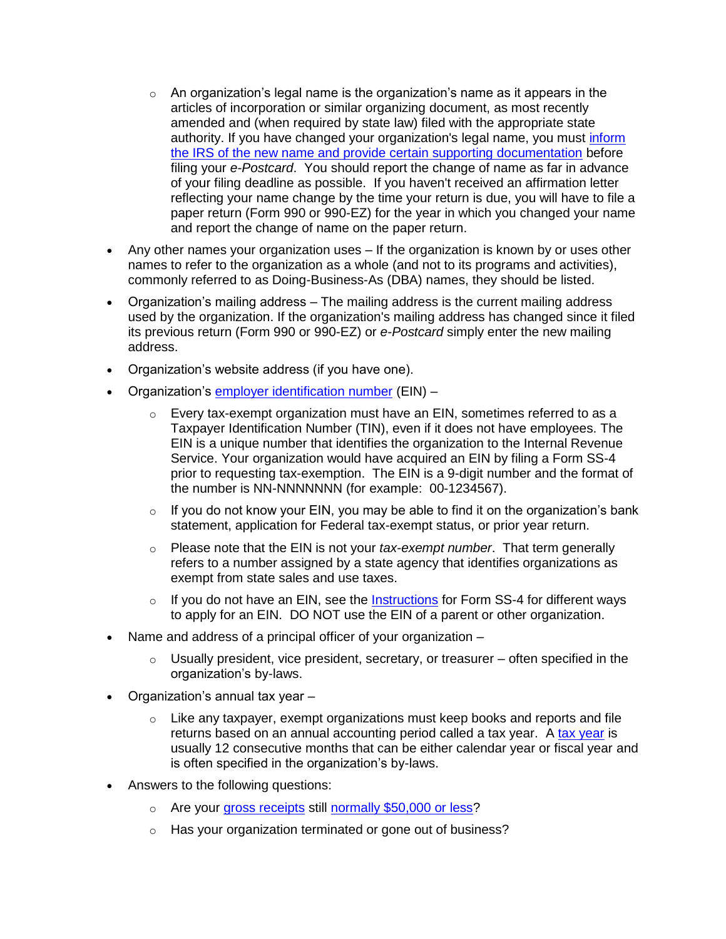- $\circ$  An organization's legal name is the organization's name as it appears in the articles of incorporation or similar organizing document, as most recently amended and (when required by state law) filed with the appropriate state authority. If you have changed your organization's legal name, you must inform [the IRS of the new name and provide certain supporting documentation](http://www.irs.gov/Charities-&-Non-Profits/Charitable-Organizations/Change-of-Name-Exempt-Organizations) before filing your *e-Postcard*. You should report the change of name as far in advance of your filing deadline as possible. If you haven't received an affirmation letter reflecting your name change by the time your return is due, you will have to file a paper return (Form 990 or 990-EZ) for the year in which you changed your name and report the change of name on the paper return.
- Any other names your organization uses If the organization is known by or uses other names to refer to the organization as a whole (and not to its programs and activities), commonly referred to as Doing-Business-As (DBA) names, they should be listed.
- Organization's mailing address The mailing address is the current mailing address used by the organization. If the organization's mailing address has changed since it filed its previous return (Form 990 or 990-EZ) or *e-Postcard* simply enter the new mailing address.
- Organization's website address (if you have one).
- Organization's [employer identification number](http://www.irs.gov/Charities-&-Non-Profits/Employer-Identification-Number) (EIN) -
	- $\circ$  Every tax-exempt organization must have an EIN, sometimes referred to as a Taxpayer Identification Number (TIN), even if it does not have employees. The EIN is a unique number that identifies the organization to the Internal Revenue Service. Your organization would have acquired an EIN by filing a Form SS-4 prior to requesting tax-exemption. The EIN is a 9-digit number and the format of the number is NN-NNNNNNN (for example: 00-1234567).
	- $\circ$  If you do not know your EIN, you may be able to find it on the organization's bank statement, application for Federal tax-exempt status, or prior year return.
	- o Please note that the EIN is not your *tax-exempt number*. That term generally refers to a number assigned by a state agency that identifies organizations as exempt from state sales and use taxes.
	- o If you do not have an EIN, see the **[Instructions](http://www.irs.gov/file_source/pub/irs-pdf/iss4.pdf)** for Form SS-4 for different ways to apply for an EIN. DO NOT use the EIN of a parent or other organization.
- Name and address of a principal officer of your organization
	- $\circ$  Usually president, vice president, secretary, or treasurer often specified in the organization's by-laws.
- Organization's annual tax year
	- $\circ$  Like any taxpayer, exempt organizations must keep books and reports and file returns based on an annual accounting period called a tax year. A [tax year](http://www.irs.gov/Charities-&-Non-Profits/Exempt-Organizations-Annual-Reporting-Requirements-Filing-Procedures:-Tax-Year) is usually 12 consecutive months that can be either calendar year or fiscal year and is often specified in the organization's by-laws.
- Answers to the following questions:
	- o Are your [gross receipts](http://www.irs.gov/Charities-&-Non-Profits/Gross-Receipts-Defined) still [normally \\$50,000 or less?](http://www.irs.gov/Charities-&-Non-Profits/Gross-Receipts-Normally-$25,000-$50,000-or-Less)
	- o Has your organization terminated or gone out of business?